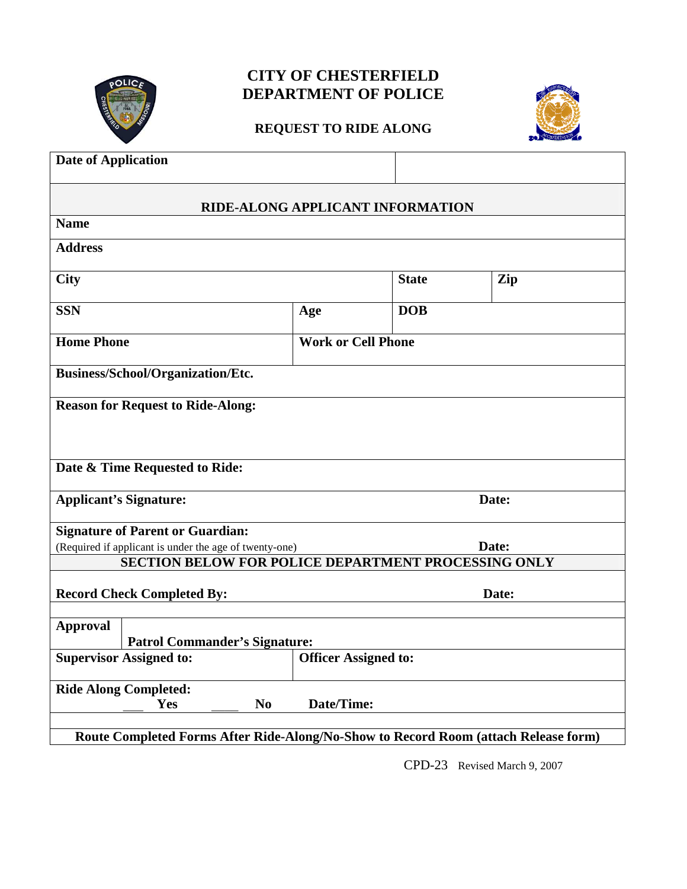

## **CITY OF CHESTERFIELD DEPARTMENT OF POLICE**

## **REQUEST TO RIDE ALONG**



| <b>Date of Application</b>                                                          |                             |              |       |  |
|-------------------------------------------------------------------------------------|-----------------------------|--------------|-------|--|
| RIDE-ALONG APPLICANT INFORMATION                                                    |                             |              |       |  |
| <b>Name</b>                                                                         |                             |              |       |  |
| <b>Address</b>                                                                      |                             |              |       |  |
| <b>City</b>                                                                         |                             | <b>State</b> | Zip   |  |
| <b>SSN</b>                                                                          | Age                         | <b>DOB</b>   |       |  |
| <b>Home Phone</b>                                                                   | <b>Work or Cell Phone</b>   |              |       |  |
| Business/School/Organization/Etc.                                                   |                             |              |       |  |
| <b>Reason for Request to Ride-Along:</b>                                            |                             |              |       |  |
| Date & Time Requested to Ride:                                                      |                             |              |       |  |
| <b>Applicant's Signature:</b>                                                       |                             |              | Date: |  |
| <b>Signature of Parent or Guardian:</b>                                             |                             |              |       |  |
| (Required if applicant is under the age of twenty-one)                              |                             | Date:        |       |  |
| SECTION BELOW FOR POLICE DEPARTMENT PROCESSING ONLY                                 |                             |              |       |  |
| <b>Record Check Completed By:</b>                                                   |                             |              | Date: |  |
| <b>Approval</b><br><b>Patrol Commander's Signature:</b>                             |                             |              |       |  |
| <b>Supervisor Assigned to:</b>                                                      | <b>Officer Assigned to:</b> |              |       |  |
| <b>Ride Along Completed:</b><br>Date/Time:<br>Yes<br>$\mathbf{N}\mathbf{0}$         |                             |              |       |  |
| Route Completed Forms After Ride-Along/No-Show to Record Room (attach Release form) |                             |              |       |  |

CPD-23 Revised March 9, 2007